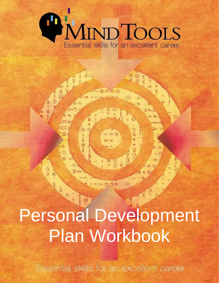

È

玉田

 $\overline{Q}$ 

Personal Development Plan Workbook

Essential skills for an excellent career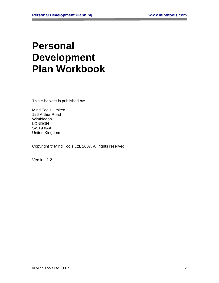# **Personal Development Plan Workbook**

This e-booklet is published by:

Mind Tools Limited 126 Arthur Road Wimbledon LONDON SW19 8AA United Kingdom

Copyright © Mind Tools Ltd, 2007. All rights reserved.

Version 1.2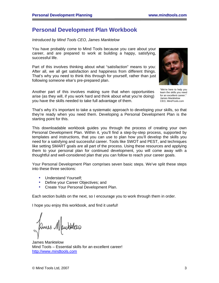# <span id="page-2-0"></span>**Personal Development Plan Workbook**

#### *Introduced by Mind Tools CEO, James Manktelow*

You have probably come to Mind Tools because you care about your career, and are prepared to work at building a happy, satisfying, successful life.

Part of this involves thinking about what "satisfaction" means to you: After all, we all get satisfaction and happiness from different things. That's why you need to think this through for yourself, rather than just following someone else's pre-prepared plan.

Another part of this involves making sure that when opportunities arise (as they will, if you work hard and think about what you're doing) you have the skills needed to take full advantage of them.



"We're here to help you learn the skills you need for an excellent career." James Manktelow CEO, MindTools.com

That's why it's important to take a systematic approach to developing your skills, so that they're ready when you need them. Developing a Personal Development Plan is the starting point for this.

This downloadable workbook guides you through the process of creating your own Personal Development Plan. Within it, you'll find a step-by-step process, supported by templates and instructions, that you can use to plan how you'll develop the skills you need for a satisfying and successful career. Tools like SWOT and PEST, and techniques like setting SMART goals are all part of the process. Using these resources and applying them to your personal plan for continued development, you will come away with a thoughtful and well-considered plan that you can follow to reach your career goals.

Your Personal Development Plan comprises seven basic steps. We've split these steps into these three sections:

- Understand Yourself:
- Define your Career Objectives; and
- Create Your Personal Development Plan.

Each section builds on the next, so I encourage you to work through them in order.

I hope you enjoy this workbook, and find it useful!

James Manktelow Mind Tools – Essential skills for an excellent career! [http://www.mindtools.com](http://www.mindtools.com/)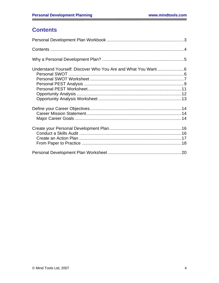# **Contents**

<span id="page-3-0"></span>٠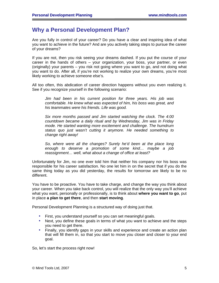# <span id="page-4-0"></span>**Why a Personal Development Plan?**

Are you fully in control of your career? Do you have a clear and inspiring idea of what you want to achieve in the future? And are you actively taking steps to pursue the career of your dreams?

If you are not, then you risk seeing your dreams dashed. If you put the course of your career in the hands of others – your organization, your boss, your partner, or even (originally) your parents – you risk not going where you want to go, and not doing what you want to do. After all, if you're not working to realize your own dreams, you're most likely working to achieve someone else's.

All too often, this abdication of career direction happens without you even realizing it. See if you recognize yourself in the following scenario:

*Jim had been in his current position for three years. His job was comfortable. He knew what was expected of him, his boss was great, and his teammates were his friends. Life was good.* 

*Six more months passed and Jim started watching the clock. The 4:00 countdown became a daily ritual and by Wednesday, Jim was in Friday mode. He started wanting more excitement and challenge. The humdrum status quo just wasn't cutting it anymore. He needed something to change right away!* 

So, where were all the changes? Surely he'd been at the place long *enough to deserve a promotion of some kind… maybe a job reassignment… well, what about a change of office at least?*

Unfortunately for Jim, no one ever told him that neither his company nor his boss was responsible for his career satisfaction. No one let him in on the secret that if you do the same thing today as you did yesterday, the results for tomorrow are likely to be no different.

You have to be proactive. You have to take charge, and change the way you think about your career. When you take back control, you will realize that the only way you'll achieve what you want, personally or professionally, is to think about **where you want to go**, put in place **a plan to get there**, and then **start moving**.

Personal Development Planning is a structured way of doing just that.

- ! First, you understand yourself so you can set meaningful goals.
- ! Next, you define these goals in terms of what you want to achieve and the steps you need to get there.
- ! Finally, you identify gaps in your skills and experience and create an action plan that will fill them in, so that you start to move you closer and closer to your end goal.

So, let's start the process right now!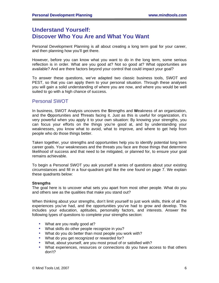# <span id="page-5-0"></span>**Understand Yourself: Discover Who You Are and What You Want**

Personal Development Planning is all about creating a long term goal for your career, and then planning how you'll get there.

However, before you can know what you want to do in the long term, some serious reflection is in order. What are you good at? Not so good at? What opportunities are available? And are there factors beyond your control that could impact your goal?

To answer these questions, we've adapted two classic business tools, SWOT and PEST, so that you can apply them to your personal situation. Through these analyses you will gain a solid understanding of where you are now, and where you would be well suited to go with a high chance of success.

### Personal SWOT

In business, SWOT Analysis uncovers the **S**trengths and **W**eakness of an organization, and the **O**pportunities and **T**hreats facing it. Just as this is useful for organization, it's very powerful when you apply it to your own situation: By knowing your strengths, you can focus your efforts on the things you're good at, and by understanding your weaknesses, you know what to avoid, what to improve, and where to get help from people who do those things better.

Taken together, your strengths and opportunities help you to identify potential long term career goals. Your weaknesses and the threats you face are those things that determine likelihood of success and that need to be mitigated, or planned for, to ensure your goal remains achievable.

To begin a Personal SWOT you ask yourself a series of questions about your existing circumstances and fill in a four-quadrant grid like the one found on page [7.](#page-6-1) We explain these quadrants below:

#### **Strengths**

The goal here is to uncover what sets you apart from most other people. What do you and others see as the qualities that make you stand out?

When thinking about your strengths, don't limit yourself to just work skills, think of all the experiences you've had, and the opportunities you've had to grow and develop. This includes your education, aptitudes, personality factors, and interests. Answer the following types of questions to complete your strengths section:

- What are you really good at?
- ! What skills do other people recognize in you?
- ! What do you do better than most people you work with?
- . What do you get recognized or rewarded for?
- ! What, about yourself, are you most proud of or satisfied with?
- ! What experiences, resources or connections do you have access to that others don't?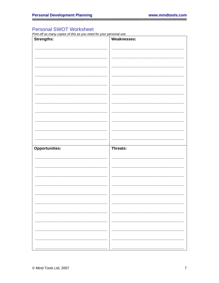## <span id="page-6-1"></span><span id="page-6-0"></span>**Personal SWOT Worksheet**

Print off as many copies of this as you need for your personal use.

| Strengths:            | <b>Weaknesses:</b> |
|-----------------------|--------------------|
|                       |                    |
|                       |                    |
|                       |                    |
|                       |                    |
|                       |                    |
|                       |                    |
|                       |                    |
|                       |                    |
|                       |                    |
|                       |                    |
|                       |                    |
|                       |                    |
| <b>Opportunities:</b> | Threats:           |
|                       |                    |
|                       |                    |
|                       |                    |
|                       |                    |
|                       |                    |
|                       |                    |
|                       |                    |
|                       |                    |
|                       |                    |
|                       |                    |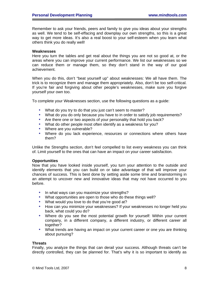Remember to ask your friends, peers and family to give you ideas about your strengths as well. We tend to be self-effacing and downplay our own strengths, so this is a great way to get more ideas. It's also a real boost to your self-esteem when you learn what others think you do really well!

#### **Weaknesses**

Here you turn the tables and get real about the things you are not so good at, or the areas where you can improve your current performance. We list our weaknesses so we can reduce them or manage them, so they don't stand in the way of our goal achievement.

When you do this, don't "beat yourself up" about weaknesses: We all have them. The trick is to recognize them and manage them appropriately. Also, don't be too self-critical. If you're fair and forgiving about other people's weaknesses, make sure you forgive yourself your own too.

To complete your Weaknesses section, use the following questions as a guide:

- ! What do you try to do that you just can't seem to master?
- ! What do you do only because you have to in order to satisfy job requirements?
- Are there one or two aspects of your personality that hold you back?
- ! What do other people most often identify as a weakness for you?
- Where are you vulnerable?
- ! Where do you lack experience, resources or connections where others have them?

Unlike the Strengths section, don't feel compelled to list every weakness you can think of. Limit yourself to the ones that can have an impact on your career satisfaction.

#### **Opportunities**

Now that you have looked inside yourself, you turn your attention to the outside and identify elements that you can build on or take advantage of that will improve your chances of success. This is best done by setting aside some time and brainstorming in an attempt to uncover new and innovative ideas that may not have occurred to you before.

- In what ways can you maximize your strengths?
- ! What opportunities are open to those who do these things well?
- What would you love to do that you're good at?
- ! How can you minimize your weaknesses? If your weaknesses no longer held you back, what could you do?
- ! Where do you see the most potential growth for yourself: Within your current company, in a different company, a different industry, or different career all together?
- What trends are having an impact on your current career or one you are thinking about pursuing?

#### **Threats**

Finally, you analyze the things that can derail your success. Although threats can't be directly controlled, they can be planned for. That's why it is so important to identify as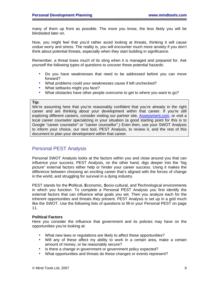<span id="page-8-0"></span>many of them up front as possible. The more you know, the less likely you will be blindsided later on.

Now, you might feel that you'd rather avoid looking at threats, thinking it will cause undue worry and stress. The reality is, you will encounter much more anxiety if you don't think about potential threats, especially when they start building in significance.

Remember, a threat loses much of its sting when it is managed and prepared for. Ask yourself the following types of questions to uncover these potential hazards:

- ! Do you have weaknesses that need to be addressed before you can move forward?
- ! What problems could your weaknesses cause if left unchecked?
- What setbacks might you face?
- ! What obstacles have other people overcome to get to where you want to go?

#### **Tip:**

We're assuming here that you're reasonably confident that you're already in the right career and are thinking about your development within that career. If you're still exploring different careers, consider visiting our partner site, [Assessment.com](http://www.assessment.com/MAPPMembers/Welcome.asp?accnum=06-5401-000.00), or visit a local career counselor specializing in your situation (a good starting point for this is to Google "career counselor" or "career counsellor".) Even then, use your SWOT Analysis to inform your choice, our next tool, PEST Analysis, to review it, and the rest of this document to plan your development within that career.

### Personal PEST Analysis

Personal SWOT Analysis looks at the factors within you and close around you that can influence your success. PEST Analysis, on the other hand, digs deeper into the "big picture" external factors either help or hinder your career success. Using it makes the difference between choosing an exciting career that's aligned with the forces of change in the world, and struggling for survival in a dying industry.

PEST stands for the **P**olitical, **E**conomic, **S**ocio-cultural, and **T**echnological environments in which you function. To complete a Personal PEST Analysis you first identify the external factors that can influence what goals you set. Then you analyze each for the inherent opportunities and threats they present. PEST Analysis is set up in a grid much like the SWOT. Use the following lists of questions to fill-in your Personal PEST on page [11.](#page-10-1)

#### **Political Factors**

Here you consider the influence that government and its policies may have on the opportunities you're looking at:

- ! What new laws or regulations are likely to affect these opportunities?
- ! Will any of these affect my ability to work in a certain area, make a certain amount of money, or be reasonably secure?
- ! Is there a change in government or government policy expected?
- ! What opportunities and threats do these changes or events represent?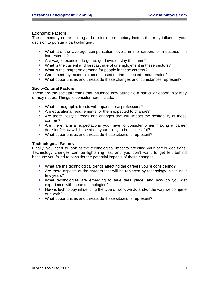#### **Economic Factors**

The elements you are looking at here include monetary factors that may influence your decision to pursue a particular goal:

- ! What are the average compensation levels in the careers or industries I'm interested in?
- ! Are wages expected to go up, go down, or stay the same?
- ! What is the current and forecast rate of unemployment in these sectors?
- ! What is the long term demand for people in these careers?
- ! Can I meet my economic needs based on the expected remuneration?
- ! What opportunities and threats do these changes or circumstances represent?

#### **Socio-Cultural Factors**

These are the societal trends that influence how attractive a particular opportunity may or may not be. Things to consider here include:

- ! What demographic trends will impact these professions?
- ! Are educational requirements for them expected to change?
- ! Are there lifestyle trends and changes that will impact the desirability of these careers?
- ! Are there familial expectations you have to consider when making a career decision? How will these affect your ability to be successful?
- ! What opportunities and threats do these situations represent?

#### **Technological Factors**

Finally, you need to look at the technological impacts affecting your career decisions. Technology changes can be lightening fast and you don't want to get left behind because you failed to consider the potential impacts of these changes.

- ! What are the technological trends affecting the careers you're considering?
- ! Are there aspects of the careers that will be replaced by technology in the next few years?
- ! What technologies are emerging to take their place, and how do you get experience with these technologies?
- ! How is technology influencing the type of work we do and/or the way we compete our work?
- ! What opportunities and threats do these situations represent?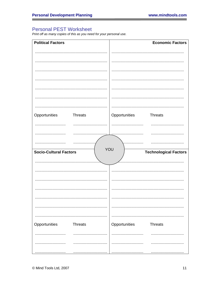## <span id="page-10-1"></span><span id="page-10-0"></span>**Personal PEST Worksheet**

Print off as many copies of this as you need for your personal use.

| <b>Political Factors</b>             | <b>Economic Factors</b>         |
|--------------------------------------|---------------------------------|
|                                      |                                 |
|                                      |                                 |
|                                      |                                 |
|                                      |                                 |
|                                      |                                 |
|                                      |                                 |
|                                      |                                 |
| Opportunities<br><b>Threats</b>      | Opportunities<br><b>Threats</b> |
|                                      |                                 |
|                                      |                                 |
|                                      |                                 |
| YOU<br><b>Socio-Cultural Factors</b> | <b>Technological Factors</b>    |
|                                      |                                 |
|                                      |                                 |
|                                      |                                 |
|                                      |                                 |
|                                      |                                 |
|                                      |                                 |
|                                      |                                 |
|                                      |                                 |
| Opportunities<br><b>Threats</b>      | Opportunities<br><b>Threats</b> |
| .                                    |                                 |
|                                      |                                 |
|                                      |                                 |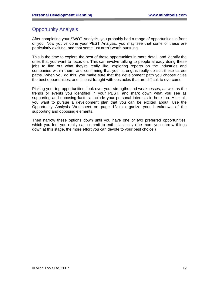### <span id="page-11-0"></span>Opportunity Analysis

After completing your SWOT Analysis, you probably had a range of opportunities in front of you. Now you've done your PEST Analysis, you may see that some of these are particularly exciting, and that some just aren't worth pursuing.

This is the time to explore the best of these opportunities in more detail, and identify the ones that you want to focus on. This can involve talking to people already doing these jobs to find out what they're really like, exploring reports on the industries and companies within them, and confirming that your strengths really do suit these career paths. When you do this, you make sure that the development path you choose gives the best opportunities, and is least fraught with obstacles that are difficult to overcome.

Picking your top opportunities, look over your strengths and weaknesses, as well as the trends or events you identified in your PEST, and mark down what you see as supporting and opposing factors. Include your personal interests in here too. After all, you want to pursue a development plan that you can be excited about! Use the Opportunity Analysis Worksheet on page [13](#page-12-1) to organize your breakdown of the supporting and opposing elements.

Then narrow these options down until you have one or two preferred opportunities, which you feel you really can commit to enthusiastically (the more you narrow things down at this stage, the more effort you can devote to your best choice.)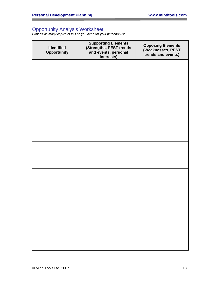### <span id="page-12-1"></span><span id="page-12-0"></span>Opportunity Analysis Worksheet

*Print off as many copies of this as you need for your personal use.* 

| <b>Identified</b><br>Opportunity | <b>Supporting Elements</b><br>(Strengths, PEST trends<br>and events, personal<br>interests) | <b>Opposing Elements</b><br>(Weaknesses, PEST<br>trends and events) |
|----------------------------------|---------------------------------------------------------------------------------------------|---------------------------------------------------------------------|
|                                  |                                                                                             |                                                                     |
|                                  |                                                                                             |                                                                     |
|                                  |                                                                                             |                                                                     |
|                                  |                                                                                             |                                                                     |
|                                  |                                                                                             |                                                                     |
|                                  |                                                                                             |                                                                     |
|                                  |                                                                                             |                                                                     |
|                                  |                                                                                             |                                                                     |
|                                  |                                                                                             |                                                                     |
|                                  |                                                                                             |                                                                     |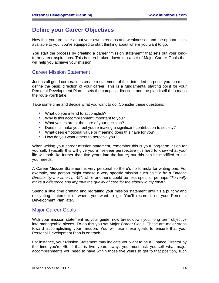# <span id="page-13-0"></span>**Define your Career Objectives**

Now that you are clear about your own strengths and weaknesses and the opportunities available to you, you're equipped to start thinking about where you want to go.

You start the process by creating a career "mission statement" that sets out your longterm career aspirations. This is then broken down into a set of Major Career Goals that will help you achieve your mission.

### Career Mission Statement

Just as all good corporations create a statement of their intended purpose, you too must define the basic direction of your career. This is a fundamental starting point for your Personal Development Plan. It sets the compass direction, and the plan itself then maps the route you'll take.

Take some time and decide what you want to do. Consider these questions:

- What do you intend to accomplish?
- ! Why is this accomplishment important to you?
- ! What values are at the core of your decision?
- ! Does this make you feel you're making a significant contribution to society?
- . What deep emotional value or meaning does this have for you?
- How do you want others to perceive you?

When writing your career mission statement, remember this is your long-term vision for yourself. Typically this will give you a five-year perspective (it's hard to know what your life will look like further than five years into the future) but this can be modified to suit your needs.

A Career Mission Statement is very personal so there's no formula for writing one. For example, one person might choose a very specific mission such as "*To be a Finance Director by the time I'm 45*", while another's could be less specific, perhaps "*To really make a difference and improve the quality of care for the elderly in my town*."

Spend a little time drafting and redrafting your mission statement until it's a punchy and motivating statement of where you want to go. You'll record it on your Personal Development Plan later.

### Major Career Goals

With your mission statement as your guide, now break down your long term objective into manageable pieces. To do this you set Major Career Goals. These are major steps toward accomplishing your mission. You will use these goals to ensure that your Personal Development Plan is on track.

For instance, your Mission Statement may indicate you want to be a Finance Director by the time you're 45. If that is five years away, you must ask yourself what major accomplishments you need to have within those five years to get to that position, such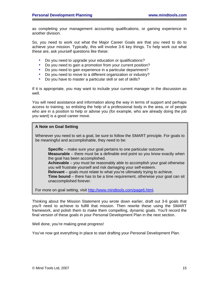as completing your management accounting qualifications, or gaining experience in another division.

So, you need to work out what the Major Career Goals are that you need to do to achieve your mission. Typically, this will involve 3-6 key things. To help work out what these are, ask yourself questions like these:

- Do you need to upgrade your education or qualifications?
- Do you need to gain a promotion from your current position?
- ! Do you need to gain experience in a particular department?
- Do you need to move to a different organization or industry?
- Do you have to master a particular skill or set of skills?

If it is appropriate, you may want to include your current manager in the discussion as well.

You will need assistance and information along the way in terms of support and perhaps access to training, so enlisting the help of a professional body in the area, or of people who are in a position to help or advise you (for example, who are already doing the job you want) is a good career move.

#### **A Note on Goal Setting**

Whenever you need to set a goal, be sure to follow the SMART principle. For goals to be meaningful and accomplishable, they need to be:

**Specific** – make sure your goal pertains to one particular outcome. **Measurable** – there must be a definable end point so you know exactly when the goal has been accomplished.

**Achievable** – you must be reasonably able to accomplish your goal otherwise you will frustrate yourself and risk damaging your self-esteem.

**Relevant** – goals must relate to what you're ultimately trying to achieve.

**Time bound** – there has to be a time requirement, otherwise your goal can sit unaccomplished forever.

For more on goal setting, visit [http://www.mindtools.com/page6.html.](http://www.mindtools.com/page6.html)

Thinking about the Mission Statement you wrote down earlier, draft out 3-6 goals that you'll need to achieve to fulfill that mission. Then rewrite these using the SMART framework, and polish them to make them compelling, dynamic goals. You'll record the final version of these goals in your Personal Development Plan in the next section.

Well done, you're making great progress!

You've now got everything in place to start drafting your Personal Development Plan.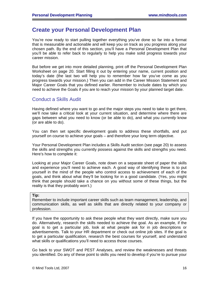# <span id="page-15-0"></span>**Create your Personal Development Plan**

You're now ready to start pulling together everything you've done so far into a format that is measurable and actionable and will keep you on track as you progress along your chosen path. By the end of this section, you'll have a Personal Development Plan that you'll be able to refer back to regularly to help you make solid progress towards your career mission.

But before we get into more detailed planning, print off the Personal Development Plan Worksheet on page [20.](#page-19-1) Start filling it out by entering your name, current position and today's date (the last two will help you to remember how far you've come as you progress towards your mission.) Then you can add in the Career Mission Statement and Major Career Goals that you defined earlier. Remember to include dates by which you need to achieve the Goals if you are to reach your mission by your planned target date.

### Conduct a Skills Audit

Having defined where you want to go and the major steps you need to take to get there, we'll now take a critical look at your current situation, and determine where there are gaps between what you need to know (or be able to do), and what you *currently* know (or are able to do).

You can then set specific development goals to address these shortfalls, and put yourself on course to achieve your goals – and therefore your long term objective.

Your Personal Development Plan includes a Skills Audit section (see page [20\)](#page-19-1) to assess the skills and strengths you currently possess against the skills and strengths you need. Here's how to complete it:

Looking at your Major Career Goals, note down on a separate sheet of paper the skills and experience you'll need to achieve each. A good way of identifying these is to put yourself in the mind of the people who control access to achievement of each of the goals, and think about what they'll be looking for in a good candidate. (Yes, you might think that people should take a chance on you without some of these things, but the reality is that they probably won't.)

#### **Tip:**

Remember to include important career skills such as team management, leadership, and communication skills, as well as skills that are directly related to your company or profession.

If you have the opportunity to ask these people what they want directly, make sure you do. Alternatively, research the skills needed to achieve the goal. As an example, if the goal is to get a particular job, look at what people ask for in job descriptions or advertisements. Talk to your HR department or check out online job sites. If the goal is to get a particular qualification, research the best courses for yourself, and understand what skills or qualifications you'll need to access those courses.

Go back to your SWOT and PEST Analyses, and review the weaknesses and threats you identified. Do any of these point to skills you need to develop if you're to pursue your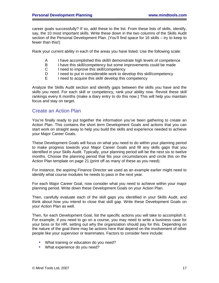<span id="page-16-0"></span>career goals successfully? If so, add these to the list. From these lists of skills, identify, say, the 10 most important skills. Write these down in the two columns of the Skills Audit section of the Personal Development Plan. (You'll find space for 16 skills – try to keep to fewer than this!)

Rank your current ability in each of the areas you have listed. Use the following scale:

- A I have accomplished this skill/I demonstrate high levels of competence<br>B I have this skill/competency but some improvements could be made
- I have this skill/competency but some improvements could be made
- C I need to improve this skill/competency
- D I need to put in considerable work to develop this skill/competency
- E I need to acquire this skill/ develop this competency

Analyze the Skills Audit section and identify gaps between the skills you have and the skills you need. For each skill or competency, rank your ability now. Revisit these skill rankings every 6 months (make a diary entry to do this now.) This will help you maintain focus and stay on target.

### Create an Action Plan

You're finally ready to put together the information you've been gathering to create an Action Plan. This contains the short term Development Goals and actions that you can start work on straight away to help you build the skills and experience needed to achieve your Major Career Goals.

These Development Goals will focus on what you need to do within your planning period to make progress towards your Major Career Goals and fill any skills gaps that you identified in your Skills Audit. Typically, your planning period will be the next six to twelve months. Choose the planning period that fits your circumstances and circle this on the Action Plan template on page [21](#page-20-0) (print off as many of these as you need).

For instance, the aspiring Finance Director we used as an example earlier might need to identify what course modules he needs to pass in the next year.

For each Major Career Goal, now consider what you need to achieve within your major planning period. Write down these Development Goals on your Action Plan.

Then, carefully evaluate each of the skill gaps you identified in your Skills Audit, and think about how you intend to close that skill gap. Write these Development Goals on your Action Plan as well.

Then, for each Development Goal, list the specific actions you will take to accomplish it. For example, if you need to go on a course, you may need to write a business case for your boss or for HR, setting out why the organization should pay for this. Depending on the nature of the goal there may be actions here that depend on the involvement of other people like your supervisor or teammates. Factors to consider here include:

- What training or education do you need?
- What experience do you need?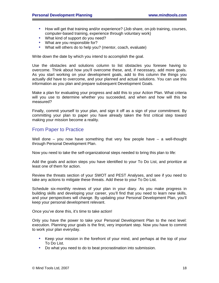- <span id="page-17-0"></span>! How will get that training and/or experience? (Job share, on-job training, courses, computer-based training, experience through voluntary work)
- What kind of support do you need?
- What are you responsible for?
- ! What will others do to help you? (mentor, coach, evaluate)

Write down the date by which you intend to accomplish the goal.

Use the obstacles and solutions column to list obstacles you foresee having to overcome. Think about how you'll overcome these, and, if necessary, add more goals. As you start working on your development goals, add to this column the things you actually *did* have to overcome, and your planned and actual solutions. You can use this information as you plan and prepare subsequent Development Goals.

Make a plan for evaluating your progress and add this to your Action Plan. What criteria will you use to determine whether you succeeded, and when and how will this be measured?

Finally, commit yourself to your plan, and sign it off as a sign of your commitment. By committing your plan to paper you have already taken the first critical step toward making your mission become a reality.

### From Paper to Practice

Well done – you now have something that very few people have – a well-thought through Personal Development Plan.

Now you need to take the self-organizational steps needed to bring this plan to life:

Add the goals and action steps you have identified to your To Do List, and prioritize at least one of them for action.

Review the threats section of your SWOT and PEST Analyses, and see if you need to take any actions to mitigate these threats. Add these to your To Do List.

Schedule six-monthly reviews of your plan in your diary. As you make progress in building skills and developing your career, you'll find that you need to learn new skills, and your perspectives will change. By updating your Personal Development Plan, you'll keep your personal development relevant.

Once you've done this, it's time to take action!

Only you have the power to take your Personal Development Plan to the next level: execution. Planning your goals is the first, very important step. Now you have to commit to work your plan everyday.

- ! Keep your mission in the forefront of your mind, and perhaps at the top of your [To Do List](http://www.mindtools.com/prtodo.html).
- ! Do what you need to do to beat [procrastination](http://www.mindtools.com/pages/article/newHTE_96.htm) into submission.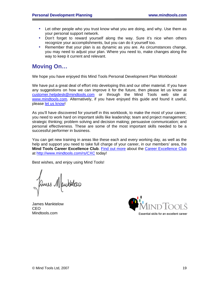- Let other people who you trust know what you are doing, and why. Use them as your personal support network.
- . Don't forget to reward yourself along the way. Sure it's nice when others recognize your accomplishments, but you can do it yourself too.
- ! Remember that your plan is as dynamic as you are. As circumstances change, you may need to adjust your plan. Where you need to, make changes along the way to keep it current and relevant.

# **Moving On…**

We hope you have enjoyed this Mind Tools Personal Development Plan Workbook!

We have put a great deal of effort into developing this and our other material. If you have any suggestions on how we can improve it for the future, then please let us know at [customer.helpdesk@mindtools.com](mailto:customer.helpdesk@mindtools.com) or through the Mind Tools web site at [www.mindtools.com.](http://www.mindtools.com/) Alternatively, if you have enjoyed this guide and found it useful, please [let us know!](mailto:customer.helpdesk@mindtools.com)

As you'll have discovered for yourself in this workbook, to make the most of your career, you need to work hard on important skills like leadership; team and project management; strategic thinking; problem solving and decision making; persuasive communication; and personal effectiveness. These are some of the most important skills needed to be a successful performer in business.

You can get new training in areas like these each and every working day, as well as the help and support you need to take full charge of your career, in our members' area, the **Mind Tools Career Excellence Club**. [Find out more](https://www.mindtools.com/rs/CXC) about the [Career Excellence Club](http://www.mindtools.com/rs/CXC) at<http://www.mindtools.com/rs/CXC> today!

Best wishes, and enjoy using Mind Tools!

ames Maukklas

James Manktelow CEO Mindtools.com

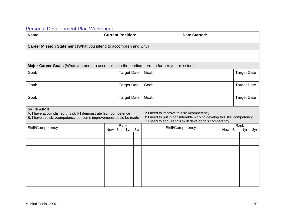# Personal Development Plan Worksheet

<span id="page-19-1"></span><span id="page-19-0"></span>

| Name:                                                                                                                                                          | <b>Current Position:</b> |  |                    |     |                                            | <b>Date Started:</b>                                                                                                               |  |        |                    |     |
|----------------------------------------------------------------------------------------------------------------------------------------------------------------|--------------------------|--|--------------------|-----|--------------------------------------------|------------------------------------------------------------------------------------------------------------------------------------|--|--------|--------------------|-----|
| Career Mission Statement (What you intend to accomplish and why)                                                                                               |                          |  |                    |     |                                            |                                                                                                                                    |  |        |                    |     |
|                                                                                                                                                                |                          |  |                    |     |                                            |                                                                                                                                    |  |        |                    |     |
| Major Career Goals (What you need to accomplish in the medium term to further your mission)                                                                    |                          |  |                    |     |                                            |                                                                                                                                    |  |        |                    |     |
| Goal:                                                                                                                                                          |                          |  | <b>Target Date</b> |     | Goal:                                      |                                                                                                                                    |  |        | <b>Target Date</b> |     |
| Goal:                                                                                                                                                          |                          |  | <b>Target Date</b> |     | Goal:                                      |                                                                                                                                    |  |        | <b>Target Date</b> |     |
| Goal:                                                                                                                                                          |                          |  | <b>Target Date</b> |     | Goal:                                      |                                                                                                                                    |  |        | <b>Target Date</b> |     |
| <b>Skills Audit</b><br>A: I have accomplished this skill/ I demonstrate high competence<br>B: I have this skill/competency but some improvements could be made |                          |  |                    |     | C: I need to improve this skill/competency | D: I need to put in considerable work to develop this skill/competency<br>E: I need to acquire this skill/ develop this competency |  |        |                    |     |
| Skill/Competency                                                                                                                                               | Rank<br>Now 6m           |  | 1yr                | 3yr |                                            | Skill/Competency                                                                                                                   |  | Now 6m | Rank<br>1yr        | 3yr |
|                                                                                                                                                                |                          |  |                    |     |                                            |                                                                                                                                    |  |        |                    |     |
|                                                                                                                                                                |                          |  |                    |     |                                            |                                                                                                                                    |  |        |                    |     |
|                                                                                                                                                                |                          |  |                    |     |                                            |                                                                                                                                    |  |        |                    |     |
|                                                                                                                                                                |                          |  |                    |     |                                            |                                                                                                                                    |  |        |                    |     |
|                                                                                                                                                                |                          |  |                    |     |                                            |                                                                                                                                    |  |        |                    |     |
|                                                                                                                                                                |                          |  |                    |     |                                            |                                                                                                                                    |  |        |                    |     |
|                                                                                                                                                                |                          |  |                    |     |                                            |                                                                                                                                    |  |        |                    |     |
|                                                                                                                                                                |                          |  |                    |     |                                            |                                                                                                                                    |  |        |                    |     |